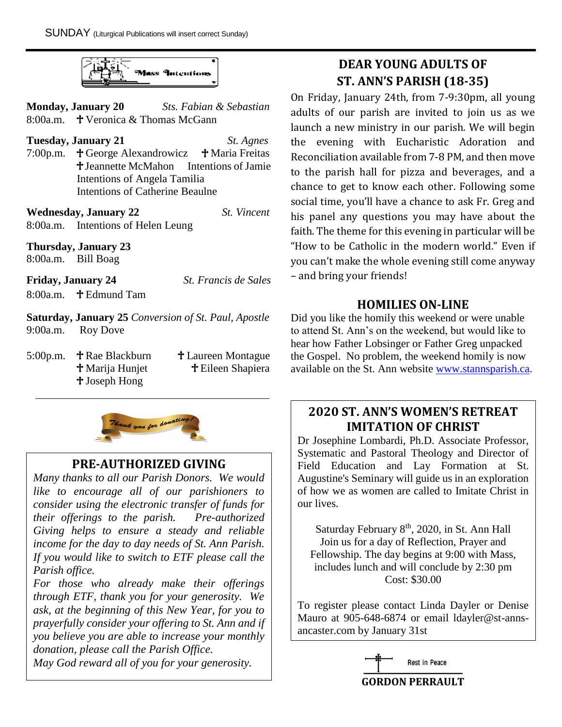

**Monday, January 20** *Sts. Fabian & Sebastian* 8:00a.m.  $\bullet$  Veronica & Thomas McGann

**Tuesday, January 21** *St. Agnes* 7:00p.m.  $\uparrow$  George Alexandrowicz  $\uparrow$  Maria Freitas  $\ddagger$  Jeannette McMahon Intentions of Jamie Intentions of Angela Tamilia Intentions of Catherine Beaulne

**Wednesday, January 22** *St. Vincent* 8:00a.m. Intentions of Helen Leung

**Thursday, January 23**

8:00a.m. Bill Boag

**Friday, January 24** *St. Francis de Sales*  $8:00a$  m.  $\bullet$  Edmund Tam

**Saturday, January 25** *Conversion of St. Paul, Apostle* 9:00a.m. Roy Dove

5:00p.m. **† Rae Blackburn † Laureen Montague** Joseph Hong

**† Marija Hunjet † Eileen Shapiera** 



## **PRE-AUTHORIZED GIVING**

*Many thanks to all our Parish Donors. We would like to encourage all of our parishioners to consider using the electronic transfer of funds for their offerings to the parish. Pre-authorized Giving helps to ensure a steady and reliable income for the day to day needs of St. Ann Parish. If you would like to switch to ETF please call the Parish office.* 

*For those who already make their offerings through ETF, thank you for your generosity. We ask, at the beginning of this New Year, for you to prayerfully consider your offering to St. Ann and if you believe you are able to increase your monthly donation, please call the Parish Office.* 

*May God reward all of you for your generosity.*

# **DEAR YOUNG ADULTS OF ST. ANN'S PARISH (18-35)**

On Friday, January 24th, from 7-9:30pm, all young adults of our parish are invited to join us as we launch a new ministry in our parish. We will begin the evening with Eucharistic Adoration and Reconciliation available from 7-8 PM, and then move to the parish hall for pizza and beverages, and a chance to get to know each other. Following some social time, you'll have a chance to ask Fr. Greg and his panel any questions you may have about the faith. The theme for this evening in particular will be "How to be Catholic in the modern world." Even if you can't make the whole evening still come anyway – and bring your friends!

## **HOMILIES ON-LINE**

Did you like the homily this weekend or were unable to attend St. Ann's on the weekend, but would like to hear how Father Lobsinger or Father Greg unpacked the Gospel. No problem, the weekend homily is now available on the St. Ann website [www.stannsparish.ca.](http://www.stannsparish.ca/)

## **2020 ST. ANN'S WOMEN'S RETREAT IMITATION OF CHRIST**

Dr Josephine Lombardi, Ph.D. Associate Professor, Systematic and Pastoral Theology and Director of Field Education and Lay Formation at St. Augustine's Seminary will guide us in an exploration of how we as women are called to Imitate Christ in our lives.

Saturday February 8<sup>th</sup>, 2020, in St. Ann Hall Join us for a day of Reflection, Prayer and Fellowship. The day begins at 9:00 with Mass, includes lunch and will conclude by 2:30 pm Cost: \$30.00

To register please contact Linda Dayler or Denise Mauro at 905-648-6874 or email ldayler@st-annsancaster.com by January 31st